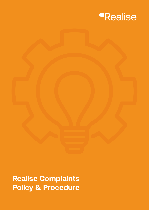

**Realise Complaints Policy & Procedure**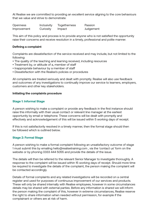At Realise we are committed to providing an excellent service aligning to the core behaviours that we value and strive to demonstrate:

| <b>Openness</b> | Inclusivity | <b>Togetherness</b> | Passion   |
|-----------------|-------------|---------------------|-----------|
| Improvement     | Curiosity   | Impact              | Judgement |

This aim of this policy and process is to provide anyone who is not satisfied the opportunity raise their concerns and receive resolution in a timely, professional and polite manner.

### **Defining a complaint**

Complaints are dissatisfaction of the service received and may include, but not limited to the following:

- The quality of the teaching and learning received, including resources
- Treatment by, or attitude of a, member of staff
- Inappropriate behaviour by a member of staff
- Dissatisfaction with the Realise's policies or procedures

All complaints are treated seriously and dealt with promptly. Realise will also use feedback and outcomes of any investigations to continually improve our service to learners, employers, customers and other key stakeholders.

### **Initiating the complaints procedure**

# **Stage 1: Informal Stage**

A person wishing to make a complaint or provide any feedback in the first instance should raise this informally with their usual contact or relevant line manager at the earliest opportunity by email or telephone. These concerns will be dealt with promptly and effectively and acknowledgement of this will be issued within 5 working days of receipt.

If this is not satisfactorily resolved in a timely manner, then the formal stage should then be followed which is outlined below.

## **Stage 2: Formal Stage**

A person wishing to make a formal complaint following an unsatisfactory outcome of stage 1 must submit this by emailing hello@realisetraining.com , via the 'contact us' form on the website or by phoning 0333 444 5055 and provide the details of the issue.

The details will then be referred to the relevant Senior Manager to investigate thoroughly. A response to the complaint will be issued within 15 working days of receipt. Should more time be required to investigate the details of the complaint, the person making the complaint will be contacted accordingly.

Details of formal complaints and any related investigations will be recorded on a central register and used for purposes of continuous improvement of our services and products. These will only be shared internally with Realise employees, however in some circumstances details may be shared with external parties. Before any information is shared we will inform the person making the complaint of this, however in extreme circumstances, Realise reserve the right to share information when needed without permission, for example if the complainant or others are at risk of harm.